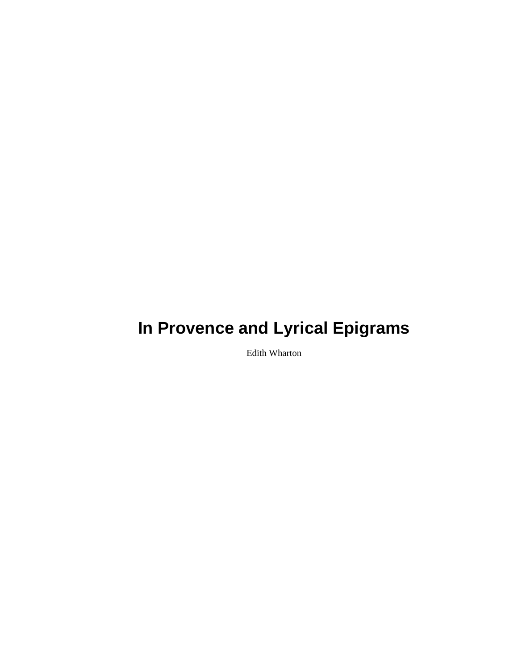# **In Provence and Lyrical Epigrams**

Edith Wharton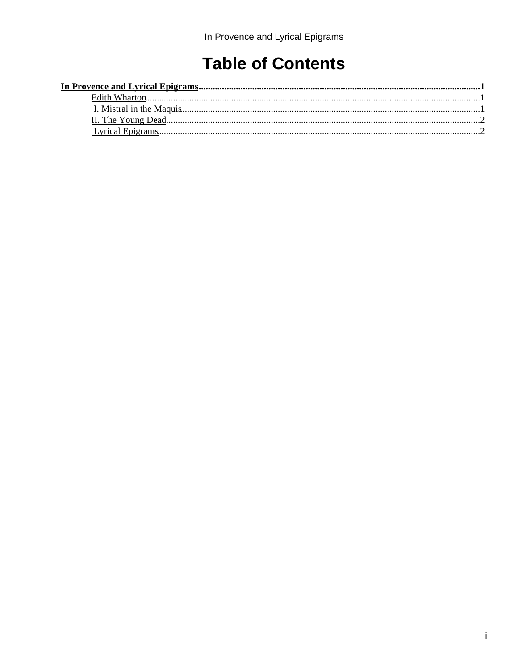## **Table of Contents**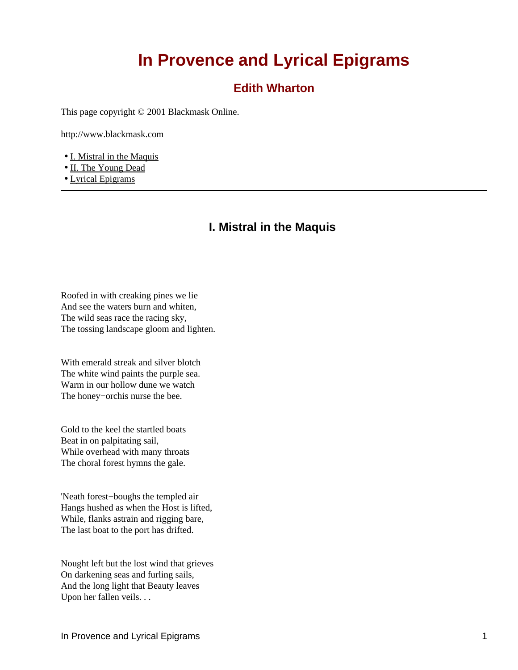## **In Provence and Lyrical Epigrams**

#### **Edith Wharton**

<span id="page-2-1"></span><span id="page-2-0"></span>This page copyright © 2001 Blackmask Online.

http://www.blackmask.com

- [I. Mistral in the Maquis](#page-2-2)
- [II. The Young Dead](#page-3-0)
- <span id="page-2-2"></span>• [Lyrical Epigrams](#page-3-1)

#### **I. Mistral in the Maquis**

Roofed in with creaking pines we lie And see the waters burn and whiten, The wild seas race the racing sky, The tossing landscape gloom and lighten.

With emerald streak and silver blotch The white wind paints the purple sea. Warm in our hollow dune we watch The honey−orchis nurse the bee.

Gold to the keel the startled boats Beat in on palpitating sail, While overhead with many throats The choral forest hymns the gale.

'Neath forest−boughs the templed air Hangs hushed as when the Host is lifted, While, flanks astrain and rigging bare, The last boat to the port has drifted.

Nought left but the lost wind that grieves On darkening seas and furling sails, And the long light that Beauty leaves Upon her fallen veils. . .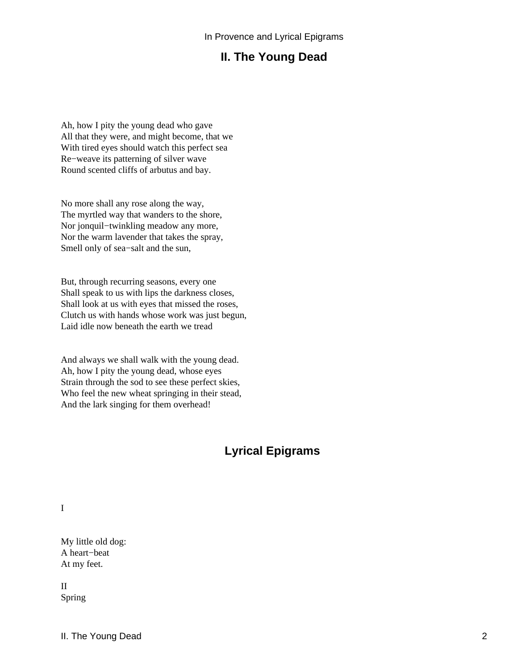### **II. The Young Dead**

<span id="page-3-0"></span>Ah, how I pity the young dead who gave All that they were, and might become, that we With tired eyes should watch this perfect sea Re−weave its patterning of silver wave Round scented cliffs of arbutus and bay.

No more shall any rose along the way, The myrtled way that wanders to the shore, Nor jonquil−twinkling meadow any more, Nor the warm lavender that takes the spray, Smell only of sea−salt and the sun,

But, through recurring seasons, every one Shall speak to us with lips the darkness closes, Shall look at us with eyes that missed the roses, Clutch us with hands whose work was just begun, Laid idle now beneath the earth we tread

And always we shall walk with the young dead. Ah, how I pity the young dead, whose eyes Strain through the sod to see these perfect skies, Who feel the new wheat springing in their stead, And the lark singing for them overhead!

### **Lyrical Epigrams**

<span id="page-3-1"></span>I

My little old dog: A heart−beat At my feet.

II Spring